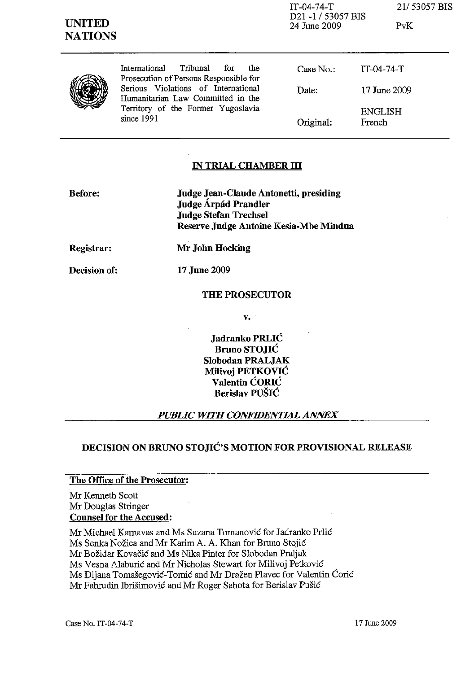IT-04-74-T 21/53057 BIS D21-1/53057 BIS 24 June 2009 PvK

|  | Tribunal<br>International<br>for<br>the<br>Prosecution of Persons Responsible for<br>Serious Violations of International<br>Humanitarian Law Committed in the<br>Territory of the Former Yugoslavia<br>since 1991 | Case No.<br>Date: | $IT-04-74-T$<br>17 June 2009 |
|--|-------------------------------------------------------------------------------------------------------------------------------------------------------------------------------------------------------------------|-------------------|------------------------------|
|  |                                                                                                                                                                                                                   | Original:         | <b>ENGLISH</b><br>French     |

# IN TRIAL CHAMBER III

| Before: | Judge Jean-Claude Antonetti, presiding |
|---------|----------------------------------------|
|         | Judge Árpád Prandler                   |
|         | <b>Judge Stefan Trechsel</b>           |
|         | Reserve Judge Antoine Kesia-Mbe Mindua |

Registrar:

Decision of:

Mr John Hocking

17 June 2009

# THE PROSECUTOR

v.

Jadranko PRLIC Bruno STOJIC Slobodan PRALJAK Milivoj PETKOVIĆ Valentin CORIC Berislav PUSIC

# *PUBLIC WITH CONFIDENTIAL ANNEX*

# DECISION ON BRUNO STOJIC'S MOTION FOR PROVISIONAL RELEASE

# The Office of the Prosecutor:

Mr Kenneth Scott Mr Douglas Stringer Counsel for the Accused:

Mr Michael Karnavas and Ms Suzana Tomanovic for Jadranko Prlic

Ms Senka Nožica and Mr Karim A. A. Khan for Bruno Stojić

Mr Bozidar Kovacic and Ms Nika Pinter for Slobodan Praljak

Ms Vesna Alaburic and Mr Nicholas Stewart for Milivoj Petkovic

Ms Dijana Tomašegović-Tomić and Mr Dražen Plavec for Valentin Ćorić

Mr Fahrudin Ibrisimovic and Mr Roger Sahota for Berislav Pusic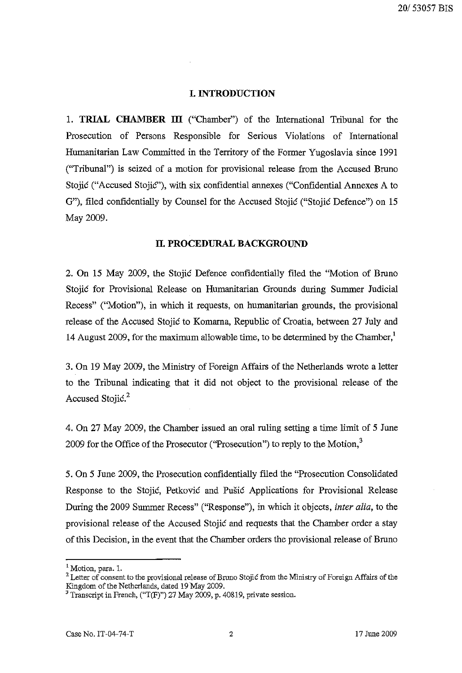### **I. INTRODUCTION**

1. **TRIAL CHAMBER ill** ("Chamber") of the International Tribunal for the Prosecution of Persons Responsible for Serious Violations of International Humanitarian Law Committed in the Territory of the Former Yugoslavia since 1991 ("Tribunal") is seized of a motion for provisional release from the Accused Bruno Stojić ("Accused Stojić"), with six confidential annexes ("Confidential Annexes A to G"), filed confidentially by Counsel for the Accused Stojic ("Stojic Defence") on 15 May 2009.

#### **II. PROCEDURAL BACKGROUND**

2. **On** 15 May 2009, the Stojic Defence confidentially filed the "Motion of Bruno Stojic for Provisional Release on Humanitarian Grounds during Summer Judicial Recess" ("Motion"), in which it requests, on humanitarian grounds, the provisional release of the Accused Stojic to Komarna, Republic of Croatia, between 27 July and 14 August 2009, for the maximum allowable time, to be determined by the Chamber,'

3. **On** 19 May 2009, the Ministry of Foreign Affairs of the Netherlands wrote a letter to the Tribunal indicating that it did not object to the provisional release of the Accused Stojić.<sup>2</sup>

4. On 27 May 2009, the Chamber issued an oral ruling setting a time limit of 5 June 2009 for the Office of the Prosecutor ("Prosecution") to reply to the Motion, $3$ 

5. On 5 June 2009, the Prosecution confidentially filed the "Prosecution Consolidated Response to the Stojic, Petkovic and Pusic Applications for Provisional Release During the 2009 Summer Recess" ("Response"), in which it objects, *inter alia*, to the provisional release of the Accused Stojic and requests that the Chamber order a stay of this Decision, in the event that the Chamber orders the provisional release of Bruno

<sup>&</sup>lt;sup>1</sup> Motion, para. 1.

<sup>&</sup>lt;sup>2</sup> Letter of consent to the provisional release of Bruno Stojic from the Ministry of Foreign Affairs of the Kingdom of the Netherlands, dated 19May 2009.

 $3$  Transcript in French, ("T(F)") 27 May 2009, p. 40819, private session.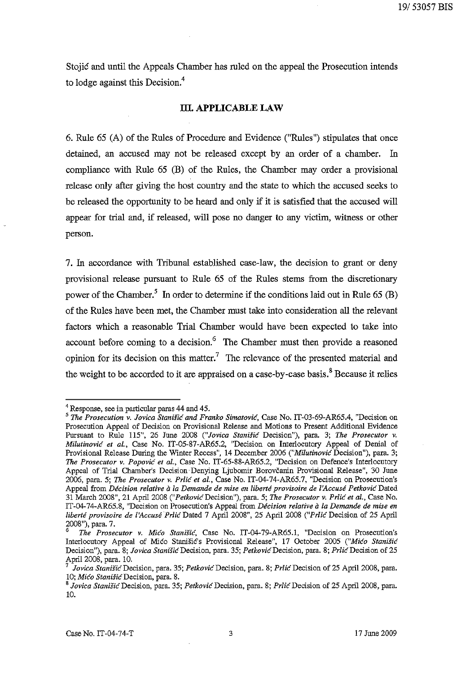Stojic and until the Appeals Chamber has ruled on the appeal the Prosecution intends to lodge against this Decision.<sup>4</sup>

#### **ill APPLICABLE LAW**

6. Rule  $65$  (A) of the Rules of Procedure and Evidence ("Rules") stipulates that once detained, an accused may not be released except by an order of a chamber. In compliance with Rule 65 (B) of the Rules, the Chamber may order a provisional release only after giving the host country and the state to which the accused seeks to be released the opportunity to be heard and only if it is satisfied that the accused will appear for trial and, if released, will pose no danger to any victim, wituess or other person.

7. In accordance with Tribunal established case-law, the decision to grant or deny provisional release pursuant to Rule 65 of the Rules stems from the discretionary power of the Chamber.<sup>5</sup> In order to determine if the conditions laid out in Rule 65 (B) of the Rules have been met, the Chamber must take into consideration all the relevant factors which a reasonable Trial Chamber would have been expected to take into account before coming to a decision.<sup>6</sup> The Chamber must then provide a reasoned opinion for its decision on this matter.<sup>7</sup> The relevance of the presented material and the weight to be accorded to it are appraised on a case-by-case basis.<sup>8</sup> Because it relies

<sup>&</sup>lt;sup>4</sup> Response, see in particular paras 44 and 45.

<sup>&</sup>lt;sup>5</sup> The Prosecution v. Jovica Stanišić and Franko Simatović, Case No. IT-03-69-AR65.4, "Decision on Prosecution Appeal of Decision on Provisional Release and Motions to Present Additional Evidence Pursuant to Rule 115", 26 June 2008 *("Jovica Stanišić* Decision"), para. 3; The Prosecutor v. *Milutinovic et al.,* Case No. IT-05-S7-AR65.2, "Decision on Interlocutory Appeal of Denial of Provisional Release During the Winter Recess", 14 December 2006 *("Milutinovic* Decision"), para. 3; *The Prosecutor v. Popovic et 01.,* Case No. IT-65-SS-AR65.2, "Decision on Defence's Interlocutory Appeal of Trial Chamber's Decision' Denying Ljubomir Borovcanin Provisional Release", 30 June 2006, para. 5; *The Prosecutor v. Prlic et 01.,* Case No. IT-04-74-AR65.7, "Decision on Prosecution's **Appeal from** *Decision relative a la Demande de mise en liberte provisoire de l:Accuse Petkovic* **Dated**  31 March 2OOS", 21 April200S *("PetkovicDecision"),* para. 5; *The Prosecutor v. Prlic et 01.,* Case No. IT -04-74-AR65.S, "Decision on Prosecution's Appeal from *Decision relative* ii *la Demande de mise en liberte proviso ire de l'Accuse Prlic* Dated 7 April 200S", 25 April 200S *("Prlic* Decision of 25 April 200S "), para. 7.

*<sup>6</sup> The Prosecutor v. Mico StaniSic,* Case No. IT-04-79-AR65.1, "Decision on Prosecntion's Interlocutory Appeal of Mico Stanišic's Provisional Release", 17 October 2005 *("Mico Stanišic* Decision"), para. 8; *Jovica Stanišić* Decision, para. 35; Petković Decision, para. 8; Prlić Decision of 25 April 200S, para. 10.

<sup>7</sup>*Jovica StaniJicDecision,* para. 35; *PetkovicDecision,* para. 8; *PrlicDecision* of 25 April 2008, para. 10; Mico Stanišic Decision, para. 8.

<sup>&</sup>lt;sup>8</sup> Jovica Stanišić Decision, para. 35; *Petković* Decision, para. 8; *Prlić* Decision of 25 April 2008, para. 10.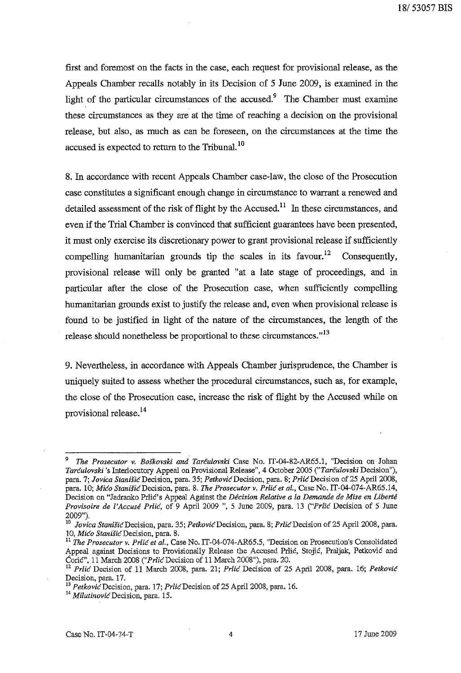first and foremost on the facts in the case, each request for provisional release, as the Appeals Chamber recalls notably in its Decision of 5 June 2009, is examined in the light of the particular circumstances of the accused.<sup>9</sup> The Chamber must examine these circumstances as they are at the time of reaching a decision on the provisional release, but also, as much as can be foreseen, on the circumstances at the time the accused is expected to return to the Tribunal.<sup>10</sup>

8. In accordance with recent Appeals Chamber case-law, the close of the Prosecution case constitutes a significant enough change in circumstance to warrant a renewed and detailed assessment of the risk of flight by the Accused.<sup>11</sup> In these circumstances, and even if the Trial Chamber is convinced that sufficient guarantees have been presented, it must only exercise its discretionary power to grant provisional release if sufficiently compelling humanitarian grounds tip the scales in its favour.<sup>12</sup> Consequently, provisional release will only be granted "at a late stage of proceedings, and in particular after the close of the Prosecution case, when sufficiently compelling humanitarian grounds exist to justify the release and, even when provisional release is found to be justified in light of the nature of the circumstances, the length of the release should nonetheless be proportional to these circumstances. $13$ 

9. Nevertheless, in accordance with Appeals Chamber jurisprudence, the Chamber is uniquely suited to assess whether the procedural circumstances, such as, for example, the close of the Prosecution case, increase the risk of flight by the Accused while on provisional release. 14

*<sup>9</sup> The Prosecutor* v. *Boskovski and" Tarculovski* Case No. IT-04-82-AR65.1, "Decision on Johan *Tarculovski* 's Interlocutory Appeal on Provisional Release", 4 October 2005 *("Tarculovski* Decision"), para. 7; *Jovica Stanišić* Decision, para. 35; *Petković* Decision, para. 8; *Prlić* Decision of 25 April 2008, para. 10; *Mico StanisicDecision,* para. 8. *The Prosecutor* v. *Prlic et 01.,* Case No. IT-04-074-AR65.14, Decision on "Jadranko Prlić's Appeal Against the *Décision Relative a la Demande de Mise en Liberté Provisoire de l'Accuse Prlic,* of 9 April 2009 ", 5 June 2009, para. 13 *("Prlic* Decision of 5 June 2009").

<sup>&</sup>lt;sup>10</sup> Jovica Stanišić Decision, para. 35; Petković Decision, para. 8; Prlić Decision of 25 April 2008, para. 10, Mico Stanišic Decision, para. 8.

<sup>11</sup>*The Prosecutor* v. *Prlic et al.,* Case No. IT-04-074-AR65.5, "Decision on Prosecution's Consolidated Appeal against Decisions to Provisionally Release the Accused Prlic, Stojic, Praljak, Petkovic and CoriC", 11 March 2008 ("PrlicDecision of 11 March 2008"), para. 20.

<sup>12</sup>*Prlic* Decision of 11 March 2008, para. 21; *Prlic* Decision of 25 April 2008, para. 16; *Petkovic*  Decision, para. 17.

<sup>&</sup>lt;sup>13</sup> Petkovic Decision, para. 17; Prlic Decision of 25 April 2008, para. 16.

*<sup>14</sup> MilutinovicDecision,* **para. 15.**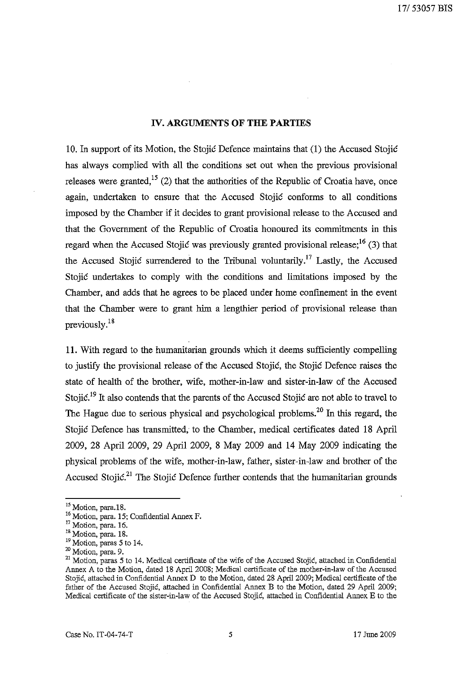#### **IV. ARGUMENTS OF THE PARTIES**

10. In support of its Motion, the Stojic Defence maintains that (1) the Accused Stojic has always complied with all the conditions set out when the previous provisional releases were granted,  $15$  (2) that the authorities of the Republic of Croatia have, once again, undertaken to ensure that the Accused Stojic conforms to all conditions imposed by the Chamber if it decides to grant provisional release to the Accused and that the Government of the Republic of Croatia honoured its commitments in this regard when the Accused Stojic was previously granted provisional release;<sup>16</sup> (3) that the Accused Stojić surrendered to the Tribunal voluntarily.<sup>17</sup> Lastly, the Accused Stojic undertakes to comply with the conditions and limitations imposed by the Chamber, and adds that he agrees to be placed under home confinement in the event that the Chamber were to grant him a lengthier period of provisional release than previously.18

11. With regard to the humanitarian grounds which it deems sufficiently compelling to justify the provisional release of the Accused Stojic, the Stojic Defence raises the state of health of the brother, wife, mother-iu-law and sister-in-law of the Accused Stojić.<sup>19</sup> It also contends that the parents of the Accused Stojić are not able to travel to The Hague due to serious physical and psychological problems.<sup>20</sup> In this regard, the Stojic Defence has transmitted, to the Chamber, medical certificates dated 18 April 2009, 28 April 2009, 29 April 2009, 8 May 2009 and 14 May 2009 indicating the physical problems of the wife, mother-in-law, father, sister-in-law and brother of the Accused Stojić.<sup>21</sup> The Stojić Defence further contends that the humanitarian grounds

<sup>&</sup>lt;sup>15</sup> Motion, para.18.

<sup>&</sup>lt;sup>16</sup> Motion, para. 15; Confidential Annex F.

<sup>&</sup>lt;sup>17</sup> Motion, para. 16.

<sup>&</sup>lt;sup>18</sup> Motion, para. 18.

 $19$  Motion, paras 5 to 14.

 $20$  Motion, para. 9.

<sup>&</sup>lt;sup>21</sup> Motion, paras 5 to 14. Medical certificate of the wife of the Accused Stojić, attached in Confidential Annex A to the Motion, dated 18 April 2008; Medical certificate of the mother-in-law of the Accused Stojić, attached in Confidential Annex D to the Motion, dated 28 April 2009; Medical certificate of the father of the Accused Stojić, attached in Confidential Annex B to the Motion, dated 29 April 2009; Medical certificate of the sister-in-law of the Accused Stojic, attached in Confidential Annex E to the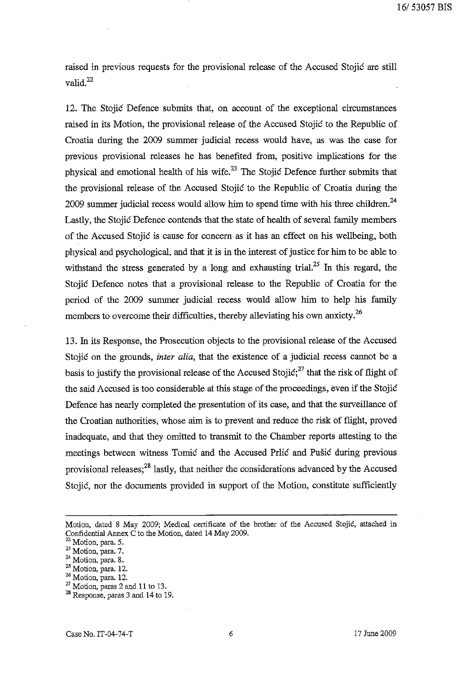raised in previous requests for the provisional release of the Accused Stojie are still valid.<sup>22</sup>

12. The Stojie Defence submits that, on account of the exceptional circumstances raised in its Motion, the provisional release of the Accused Stojie to the Republic of Croatia during the 2009 summer judicial recess would have, as was the case for previous provisional releases he has benefited from, positive implications for the physical and emotional health of his wife. $^{23}$  The Stojic Defence further submits that the provisional release of the Accused Stojić to the Republic of Croatia during the 2009 summer judicial recess would allow him to spend time with his three children.<sup>24</sup> Lastly, the Stojić Defence contends that the state of health of several family members of the Accused Stojie is cause for concern as it has an effect on his wellbeing, both physical and psychological, and that it is in the interest of justice for him to be able to withstand the stress generated by a long and exhausting trial.<sup>25</sup> In this regard, the Stojie Defence notes that a provisional release to the Republic of Croatia for the period of the 2009 summer judicial recess would allow him to help his family members to overcome their difficulties, thereby alleviating his own anxiety.<sup>26</sup>

13. In its Response, the Prosecution objects to the provisional release of the Accused Stojić on the grounds, *inter alia*, that the existence of a judicial recess cannot be a basis to justify the provisional release of the Accused Stojić;<sup>27</sup> that the risk of flight of the said Accused is too considerable at this stage of the proceedings, even if the Stojie Defence has nearly completed the presentation of its case, and that the surveillance of the Croatian authorities, whose aim is to prevent and reduce the risk of flight, proved inadequate, and that they omitted to transmit to the Chamber reports attesting to the meetings between witness Tomic and the Accused Prlic and Pušic during previous provisional releases; $^{28}$  lastly, that neither the considerations advanced by the Accused Stojić, nor the documents provided in support of the Motion, constitute sufficiently

Motion, dated 8 May 2009; Medical certificate of the brother of the Accused Stojic, attached in Confidential Annex C to the Motion, dated 14 May 2009.

<sup>&</sup>lt;sup>22</sup> Motion, para. 5.

 $23$  Motion, para. 7.

 $24$  Motion, para. 8.

<sup>&</sup>lt;sup>25</sup> Motion, para. 12.

<sup>26</sup> Motion, para. 12.

 $27$  Motion, paras 2 and 11 to 13.

<sup>28</sup> Response, paras 3 and 14 to 19.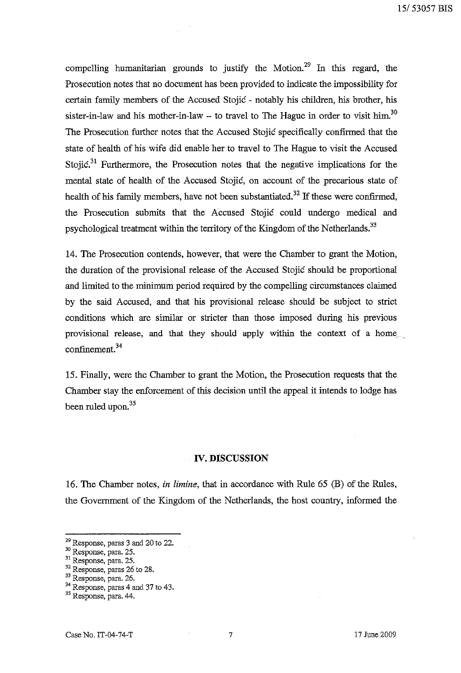compelling humanitarian grounds to justify the Motion.<sup>29</sup> In this regard, the Prosecution notes that no document has been provided to indicate the impossibility for certain faruily members of the Accused Stojic - notably his children, his brother, his sister-in-law and his mother-in-law  $-$  to travel to The Hague in order to visit him.<sup>30</sup> The Prosecution further notes that the Accused Stojic specifically confirmed that the state of health of his wife did enable her to travel to The Hague to visit the Accused Stojic.<sup>31</sup> Furthermore, the Prosecution notes that the negative implications for the mental state of health of the Accused Stojic, on account of the precarious state of health of his family members, have not been substantiated.<sup>32</sup> If these were confirmed, the Prosecution submits that the Accused Stojic could undergo medical and psychological treatment within the territory of the Kingdom of the Netherlands.<sup>33</sup>

14. The Prosecution contends, however, that were the Chamber to grant the Motion, the duration of the provisional release of the Accused Stojic should be proportional and limited to the minimum period required by the compelling circumstances claimed by the said Accused, and that his provisional release should be subject to strict conditions which are similar or stricter than those imposed during his previous provisional release, and that they should apply within the context of a home confinement. 34

15. Finally, were the Chamber to grant the Motion, the Prosecution requests that the Chamber stay the enforcement of this decision until the appeal it intends to lodge has been ruled upon.<sup>35</sup>

#### **IV. DISCUSSION**

16. The Chamber notes, *in limine,* that in accordance with Rule 65 (B) of the Rules, the Government of the Kingdom of the Netherlands, the host country, informed the

<sup>&</sup>lt;sup>29</sup> Response, paras 3 and 20 to 22.

 $30$  Response, para. 25.

<sup>&</sup>lt;sup>31</sup> Response, para. 25.

<sup>&</sup>lt;sup>32</sup> Response, paras 26 to 28.

<sup>&</sup>lt;sup>33</sup> Response, para. 26.

<sup>&</sup>lt;sup>34</sup> Response, paras 4 and 37 to 43.

<sup>35</sup> Response, para. 44.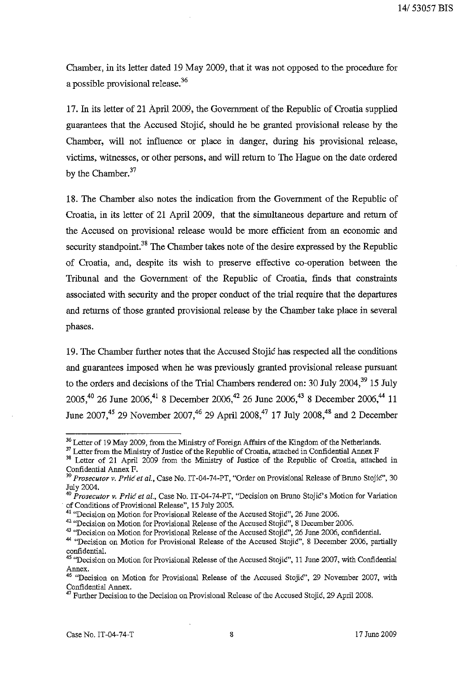Chamber, in its letter dated 19 May 2009, that it was not opposed to the procedure for a possible provisional release.<sup>36</sup>

17. In its letter of 21 April 2009, the Government of the Republic of Croatia supplied guarantees that the Accused Stojic, should he be granted provisional release by the Chamber, will not influence or place in danger, during his provisional release, victims, witnesses, or other persons, and will return to The Hague on the date ordered by the Chamber.<sup>37</sup>

18. The Chamber also notes the indication from the Government of the Republic of Croatia, in its letter of 21 April 2009, that the simultaneous departure and return of the Accused on provisional release would be more efficient from an economic and security standpoint.<sup>38</sup> The Chamber takes note of the desire expressed by the Republic of Croatia, and, despite its wish to preserve effective co-operation between the Tribunal and the Government of the Republic of Croatia, finds that constraints associated with security and the proper conduct of the trial require that the departures and returns of those granted provisional release by the Chamber take place in several phases.

19. The Chamber further notes that the Accused Stojic has respected all the conditions and guarantees imposed when he was previously granted provisional release pursuant to the orders and decisions of the Trial Chambers rendered on: 30 July 2004, $^{39}$  15 July 2005,40 26 June 2006,41 8 December 2006,42 26 June 2006,43 8 December 2006,44 11 June 2007,<sup>45</sup> 29 November 2007,<sup>46</sup> 29 April 2008,<sup>47</sup> 17 July 2008,<sup>48</sup> and 2 December

<sup>&</sup>lt;sup>36</sup> Letter of 19 May 2009, from the Ministry of Foreign Affairs of the Kingdom of the Netherlands.

<sup>&</sup>lt;sup>37</sup> Letter from the Ministry of Justice of the Republic of Croatia, attached in Confidential Annex F

<sup>&</sup>lt;sup>38</sup> Letter of 21 April 2009 from the Ministry of Justice of the Republic of Croatia, attached in Confidential Annex F.

<sup>&</sup>lt;sup>39</sup> Prosecutor v. Prlić et al., Case No. IT-04-74-PT, "Order on Provisional Release of Bruno Stojić", 30 July 2004.

<sup>&</sup>lt;sup>40</sup> Prosecutor v. Prlić et al., Case No. IT-04-74-PT, "Decision on Bruno Stojić's Motion for Variation of Conditions of Provisional Release", 15 July 2005.

<sup>&</sup>lt;sup>41</sup> 'Decision on Motion for Provisional Release of the Accused Stojić", 26 June 2006.

<sup>&</sup>lt;sup>42</sup> "Decision on Motion for Provisional Release of the Accused Stojić", 8 December 2006.

<sup>&</sup>lt;sup>43</sup> "Decision on Motion for Provisional Release of the Accused Stojić", 26 June 2006, confidential.

<sup>&</sup>lt;sup>44</sup> "Decision on Motion for Provisional Release of the Accused Stojić", 8 December 2006, partially confidential.

<sup>&</sup>lt;sup>45</sup> "Decision on Motion for Provisional Release of the Accused Stojic", 11 June 2007, with Confidential Annex.

<sup>46 &</sup>quot;Decision on Motion for Provisional Release of the Accused Stojic", 29 November 2007, with Confidential Annex.

 $47$  Further Decision to the Decision on Provisional Release of the Accused Stojic, 29 April 2008.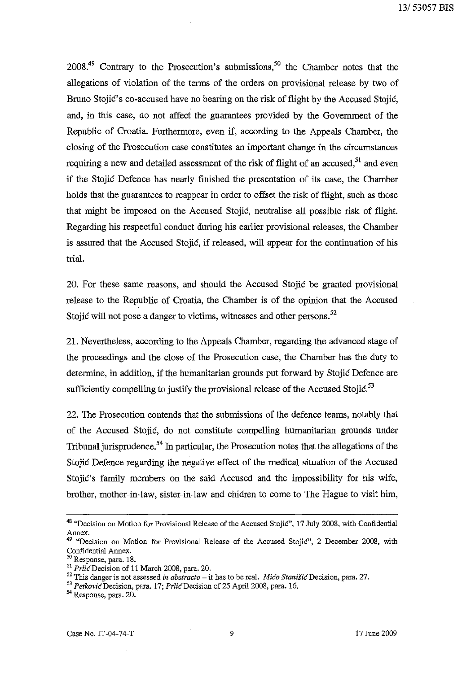$2008<sup>49</sup>$  Contrary to the Prosecution's submissions,<sup>50</sup> the Chamber notes that the allegations of violation of the terms of the orders on provisional release by two of Bruno Stojic's co-accused have no bearing on the risk of flight by the Accused Stojic, and, in this case, do not affect the guarantees provided by the Government of the Republic of Croatia. Furthermore, even if, according to the Appeals Chamber, the closing of the Prosecution case constitutes an important change in the circumstances requiring a new and detailed assessment of the risk of flight of an accused,  $51$  and even if the Stojic Defence has nearly fmished the presentation of its case, the Chamber holds that the guarantees to reappear in order to offset the risk of flight, such as those that might be imposed on the Accused Stojic, neutralise all possible risk of flight. Regarding his respectful conduct during his earlier provisional releases, the Chamber is assured that the Accused Stojic, if released, will appear for the continuation of his trial.

20. For these same reasons, and should the Accused Stojic be granted provisional release to the Republic of Croatia, the Chamber is of the opinion that the Accused Stojic will not pose a danger to victims, witnesses and other persons.<sup>52</sup>

21. Nevertheless, according to the Appeals Chamber, regarding the advanced stage of the proceedings and the close of the Prosecution case, the Chamber has the duty to determine, in addition, if the humanitarian grounds put forward by Stojic Defence are sufficiently compelling to justify the provisional release of the Accused Stojic. $53$ 

22. The Prosecution contends that the submissions of the defence teams, notably that of the Accused Stojic, do not constitute compelling humanitarian grounds under Tribunal jurisprudence.<sup>54</sup> In particular, the Prosecution notes that the allegations of the Stojic Defence regarding the negative effect of the medical situation of the Accused Stojic's family members on the said Accused and the impossibility for his wife, brother, mother-in-law, sister-in-law and chidren to come to The Hague to visit him,

<sup>&</sup>lt;sup>48</sup> "Decision on Motion for Provisional Release of the Accused Stojić", 17 July 2008, with Confidential Annex.

<sup>&</sup>lt;sup>49</sup> "Decision on Motion for Provisional Release of the Accused Stojić", 2 December 2008, with Confidential Annex.

<sup>50</sup> Response, para. 18.

S! *PrlicDecision* of 11 March 2008, para. 20.

<sup>52</sup> This danger is not assessed *in abstracto* – it has to be real. *Mico Stanišic* Decision, para. 27.

*<sup>53</sup> PetkovicDecision,* para. 17; *PrlicDecision* of 25 April 2008, para. 16.

<sup>&</sup>lt;sup>54</sup> Response, para. 20.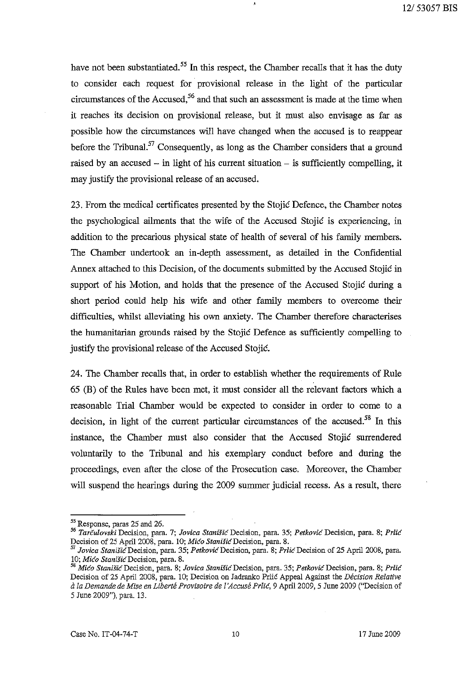have not been substantiated.<sup>55</sup> In this respect, the Chamber recalls that it has the duty to consider each request for provisional release in the light of the particular circumstances of the Accused, $56$  and that such an assessment is made at the time when it reaches its decision on provisional release, but it must also envisage as far as possible how the circumstances will have changed when the accused is to reappear before the Tribunal.<sup>57</sup> Consequently, as long as the Chamber considers that a ground raised by an accused  $-$  in light of his current situation  $-$  is sufficiently compelling, it may justify the provisional release of an accused.

23. From the medical certificates presented by the Stojic Defence, the Chamber notes the psychological ailments that the wife of the Accused Stojic is experiencing, in addition to the precarious physical state of health of several of his family members. The Chamber undertook an in-depth assessment, as detailed in the Confidential Annex attached to this Decision, of the documents submitted by the Accused Stojic in support of his Motion, and holds that the presence of the Accused Stojic during a short period could help his wife and other family members to overcome their difficulties, whilst alleviating his own anxiety. The Chamber therefore characterises the humanitarian grounds raised by the Stojic Defence as sufficiently compelling to justify the provisional release of the Accused Stojic.

24. The Chamber recalls that, in order to establish whether the requirements of Rule 65 (B) of the Rules have been met, it must consider all the relevant factors which a reasonable Trial Chamber would be expected to consider in order to come to a decision, in light of the current particular circumstances of the accused.<sup>58</sup> In this instance, the Chamber must also consider that the Accused Stojic surrendered voluntarily to the Tribunal and his exemplary conduct before and during the proceedings, even after the close of the Prosecution case. Moreover, the Chamber will suspend the hearings during the 2009 summer judicial recess. As a result, there

<sup>55</sup> Response, paras 25 and 26.

*<sup>56</sup> Tarculovski* **Decision, para. 7;** *Jovica StaniSic* **Decision, para. 35;** *Petkovic* **Decision, para. 8;** *Prlic*  Decision of 25 April 2008, para. 10; *Mićo Stanišić* Decision, para. 8.

*Sl Javica StaniJ'iCDecision,* para. 35; *PetkavicDecision,* para. B; *PrlicDecision* of 25 April 200B, para. 10; Mico Stanišic Decision, para. 8.

*<sup>58</sup> Mica StanisicDecision,* **para. 8;** *Jovica StaniSicDecision,* **para. 35;** *PetkovicDecision,* **para. 8;** *Prlic*  Decision of 25 April 200B, para. 10; Decision on Jadranko Prlic Appeal Against the *Decision Relative ala Demande de Mise en Liberte Provisoire de l"Accuse Prlic,* 9 April 2009, 5 June 2009 ("Decision of 5 June 2009"), para. 13.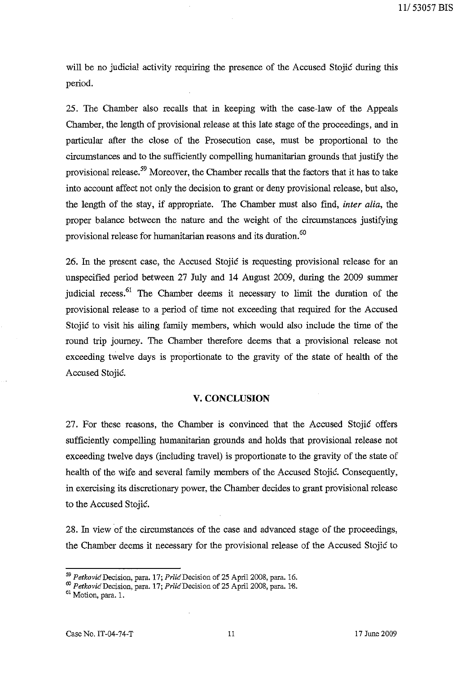will be no judicial activity requiring the presence of the Accused Stojic during this period.

25. The Chamber also recalls that in keeping with the case-law of the Appeals Chamber, the length of provisional release at this late stage of the proceedings, and in particular after the close of the Prosecution case, must be proportional to the circumstances and to the sufficiently compelling humanitarian grounds that justify the provisional release.<sup>59</sup> Moreover, the Chamber recalls that the factors that it has to take into account affect not only the decision to grant or deny provisional release, but also, the length of the stay, if appropriate. The Chamber must also find, *inter alia,* the proper balance between the nature and the weight of the circumstances justifying provisional release for humanitarian reasons and its duration.<sup>60</sup>

26. In the present case, the Accused Stojic is requesting provisional release for an unspecified period between 27 July and 14 August 2009, during the 2009 summer judicial recess.<sup>61</sup> The Chamber deems it necessary to limit the duration of the provisional release to a period of time not exceeding that required for the Accused Stojic to visit his ailing family members, which would also include the time of the round trip journey. The Chamber therefore deems that a provisional release not exceeding twelve days is proportionate to the gravity of the state of health of the Accused Stojic.

#### **V. CONCLUSION**

27. For these reasons, the Chamber is convinced that the Accused Stojic offers sufficiently compelling humanitarian grounds and holds that provisional release not exceeding twelve days (including travel) is proportionate to the gravity of the state of health of the wife and several family members of the Accused Stojic. Consequently, in exercising its discretionary power, the Chamber decides to grant provisional release to the Accused Stojic.

28. In view of the circumstances of the case and advanced stage of the proceedings, the Chamber deems it necessary for the provisional release of the Accused Stojic to

*<sup>59</sup> PetkovicDecision,* para. 17; *PrlicDecision* of 25 Apri12008, para. 16.

<sup>&#</sup>x27;" *PetkovicDecision,* para. 17; *PrlicDecision* of 25 Apri12008, para. 1'8.

<sup>61</sup> Motion, para. 1.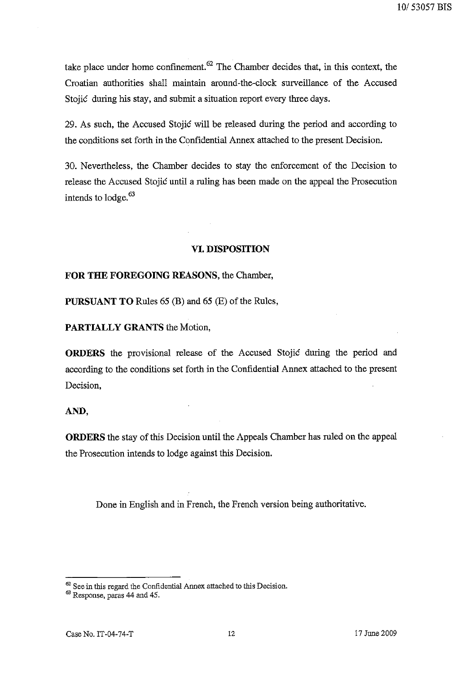10/53057 BIS

take place under home confinement.  $62$  The Chamber decides that, in this context, the Croatian authorities shall maintain around-the-clock surveillance of the Accused Stojic during his stay, and submit a situation report every three days.

29. As such, the Accused Stojic will be released during the period and according to the conditions set forth in the Confidential Annex attached to the present Decision.

30. Nevertheless, the Chamber decides to stay the enforcement of the Decision to release the Accused Stojic until a ruling has been made on the appeal the Prosecution intends to lodge.<sup>63</sup>

# **VI. DISPOSITION**

# **FOR THE FOREGOING REASONS,** the Chamber,

**PURSUANT TO** Rules 65 (B) and 65 (E) of the Rules,

**PARTIALLY GRANTS** the Motion,

**ORDERS** the provisional release of the Accused Stojic during the period and according to the conditions set forth in the Confidential Annex attached to the present Decision,

# **AND,**

**ORDERS** the stay of this Decision until the Appeals Chamber has ruled on the appeal the Prosecution intends to lodge against this Decision.

Done in English and in French, the French version being authoritative.

 $62$  See in this regard the Confidential Annex attached to this Decision.

<sup>&</sup>lt;sup>63</sup> Response, paras 44 and 45.